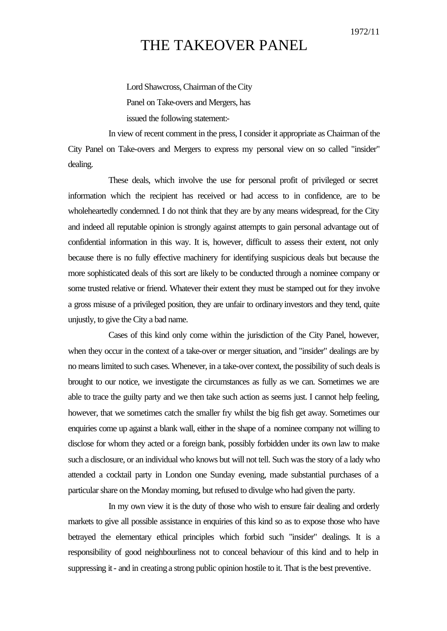## 1972/11

## THE TAKEOVER PANEL

Lord Shawcross, Chairman of the City Panel on Take-overs and Mergers, has issued the following statement:-

In view of recent comment in the press, I consider it appropriate as Chairman of the City Panel on Take-overs and Mergers to express my personal view on so called "insider" dealing.

These deals, which involve the use for personal profit of privileged or secret information which the recipient has received or had access to in confidence, are to be wholeheartedly condemned. I do not think that they are by any means widespread, for the City and indeed all reputable opinion is strongly against attempts to gain personal advantage out of confidential information in this way. It is, however, difficult to assess their extent, not only because there is no fully effective machinery for identifying suspicious deals but because the more sophisticated deals of this sort are likely to be conducted through a nominee company or some trusted relative or friend. Whatever their extent they must be stamped out for they involve a gross misuse of a privileged position, they are unfair to ordinary investors and they tend, quite unjustly, to give the City a bad name.

Cases of this kind only come within the jurisdiction of the City Panel, however, when they occur in the context of a take-over or merger situation, and "insider" dealings are by no means limited to such cases. Whenever, in a take-over context, the possibility of such deals is brought to our notice, we investigate the circumstances as fully as we can. Sometimes we are able to trace the guilty party and we then take such action as seems just. I cannot help feeling, however, that we sometimes catch the smaller fry whilst the big fish get away. Sometimes our enquiries come up against a blank wall, either in the shape of a nominee company not willing to disclose for whom they acted or a foreign bank, possibly forbidden under its own law to make such a disclosure, or an individual who knows but will not tell. Such was the story of a lady who attended a cocktail party in London one Sunday evening, made substantial purchases of a particular share on the Monday morning, but refused to divulge who had given the party.

In my own view it is the duty of those who wish to ensure fair dealing and orderly markets to give all possible assistance in enquiries of this kind so as to expose those who have betrayed the elementary ethical principles which forbid such "insider" dealings. It is a responsibility of good neighbourliness not to conceal behaviour of this kind and to help in suppressing it - and in creating a strong public opinion hostile to it. That is the best preventive.